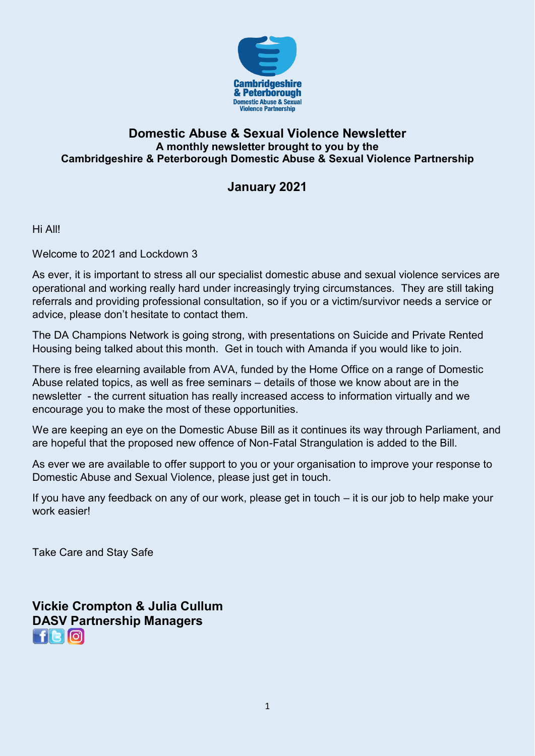

### **Domestic Abuse & Sexual Violence Newsletter A monthly newsletter brought to you by the Cambridgeshire & Peterborough Domestic Abuse & Sexual Violence Partnership**

## **January 2021**

Hi All!

Welcome to 2021 and Lockdown 3

As ever, it is important to stress all our specialist domestic abuse and sexual violence services are operational and working really hard under increasingly trying circumstances. They are still taking referrals and providing professional consultation, so if you or a victim/survivor needs a service or advice, please don't hesitate to contact them.

The DA Champions Network is going strong, with presentations on Suicide and Private Rented Housing being talked about this month. Get in touch with Amanda if you would like to join.

There is free elearning available from AVA, funded by the Home Office on a range of Domestic Abuse related topics, as well as free seminars – details of those we know about are in the newsletter - the current situation has really increased access to information virtually and we encourage you to make the most of these opportunities.

We are keeping an eye on the Domestic Abuse Bill as it continues its way through Parliament, and are hopeful that the proposed new offence of Non-Fatal Strangulation is added to the Bill.

As ever we are available to offer support to you or your organisation to improve your response to Domestic Abuse and Sexual Violence, please just get in touch.

If you have any feedback on any of our work, please get in touch – it is our job to help make your work easier!

Take Care and Stay Safe

**Vickie Crompton & Julia Cullum DASV Partnership Managers**   $f[<sub>3</sub>$  $\sigma$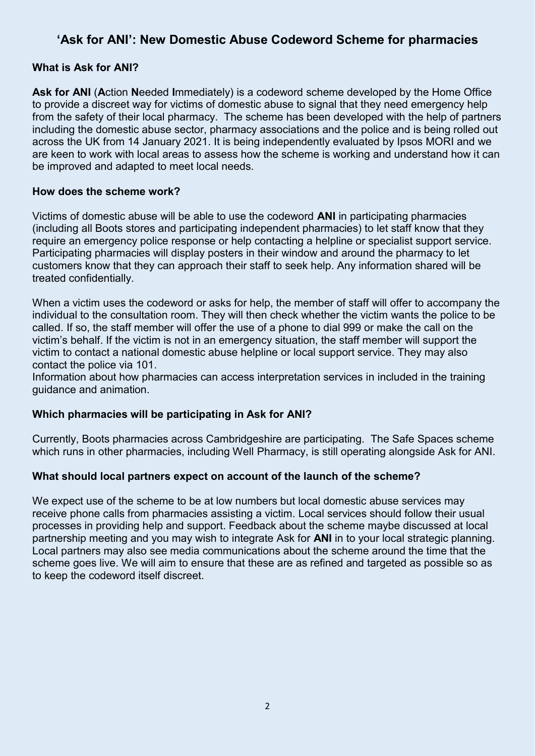## **'Ask for ANI': New Domestic Abuse Codeword Scheme for pharmacies**

#### **What is Ask for ANI?**

**Ask for ANI** (**A**ction **N**eeded **I**mmediately) is a codeword scheme developed by the Home Office to provide a discreet way for victims of domestic abuse to signal that they need emergency help from the safety of their local pharmacy. The scheme has been developed with the help of partners including the domestic abuse sector, pharmacy associations and the police and is being rolled out across the UK from 14 January 2021. It is being independently evaluated by Ipsos MORI and we are keen to work with local areas to assess how the scheme is working and understand how it can be improved and adapted to meet local needs.

#### **How does the scheme work?**

Victims of domestic abuse will be able to use the codeword **ANI** in participating pharmacies (including all Boots stores and participating independent pharmacies) to let staff know that they require an emergency police response or help contacting a helpline or specialist support service. Participating pharmacies will display posters in their window and around the pharmacy to let customers know that they can approach their staff to seek help. Any information shared will be treated confidentially.

When a victim uses the codeword or asks for help, the member of staff will offer to accompany the individual to the consultation room. They will then check whether the victim wants the police to be called. If so, the staff member will offer the use of a phone to dial 999 or make the call on the victim's behalf. If the victim is not in an emergency situation, the staff member will support the victim to contact a national domestic abuse helpline or local support service. They may also contact the police via 101.

Information about how pharmacies can access interpretation services in included in the training guidance and animation.

#### **Which pharmacies will be participating in Ask for ANI?**

Currently, Boots pharmacies across Cambridgeshire are participating. The Safe Spaces scheme which runs in other pharmacies, including Well Pharmacy, is still operating alongside Ask for ANI.

#### **What should local partners expect on account of the launch of the scheme?**

We expect use of the scheme to be at low numbers but local domestic abuse services may receive phone calls from pharmacies assisting a victim. Local services should follow their usual processes in providing help and support. Feedback about the scheme maybe discussed at local partnership meeting and you may wish to integrate Ask for **ANI** in to your local strategic planning. Local partners may also see media communications about the scheme around the time that the scheme goes live. We will aim to ensure that these are as refined and targeted as possible so as to keep the codeword itself discreet.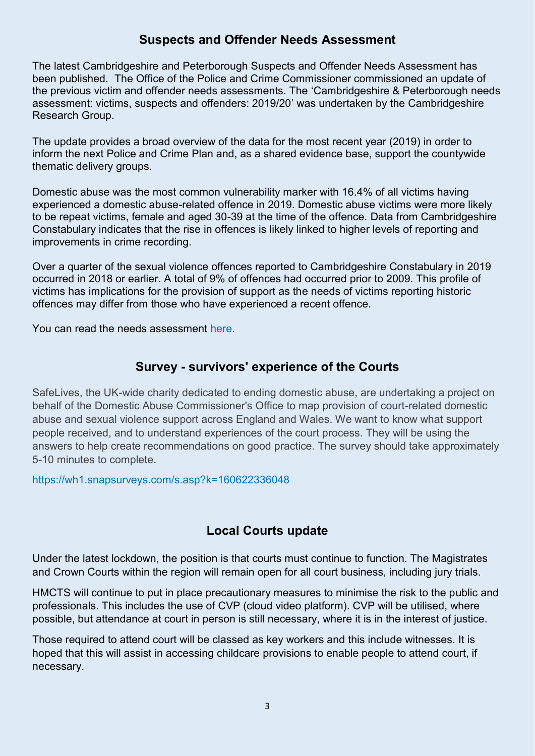## **Suspects and Offender Needs Assessment**

The latest Cambridgeshire and Peterborough Suspects and Offender Needs Assessment has been published. The Office of the Police and Crime Commissioner commissioned an update of the previous victim and offender needs assessments. The 'Cambridgeshire & Peterborough needs assessment: victims, suspects and offenders: 2019/20' was undertaken by the Cambridgeshire Research Group.

The update provides a broad overview of the data for the most recent year (2019) in order to inform the next Police and Crime Plan and, as a shared evidence base, support the countywide thematic delivery groups.

Domestic abuse was the most common vulnerability marker with 16.4% of all victims having experienced a domestic abuse-related offence in 2019. Domestic abuse victims were more likely to be repeat victims, female and aged 30-39 at the time of the offence. Data from Cambridgeshire Constabulary indicates that the rise in offences is likely linked to higher levels of reporting and improvements in crime recording.

Over a quarter of the sexual violence offences reported to Cambridgeshire Constabulary in 2019 occurred in 2018 or earlier. A total of 9% of offences had occurred prior to 2009. This profile of victims has implications for the provision of support as the needs of victims reporting historic offences may differ from those who have experienced a recent offence.

[You can read the needs assessment here.](https://cambridgeshireinsight.org.uk/communitysafety/topics/victims-and-offenders/)

### **Survey - survivors' experience of the Courts**

SafeLives, the UK-wide charity dedicated to ending domestic abuse, are undertaking a project on behalf of the Domestic Abuse Commissioner's Office to map provision of court-related domestic abuse and sexual violence support across England and Wales. We want to know what support people received, and to understand experiences of the court process. They will be using the answers to help create recommendations on good practice. The survey should take approximately 5-10 minutes to complete.

<https://wh1.snapsurveys.com/s.asp?k=160622336048>

## **Local Courts update**

Under the latest lockdown, the position is that courts must continue to function. The Magistrates and Crown Courts within the region will remain open for all court business, including jury trials.

HMCTS will continue to put in place precautionary measures to minimise the risk to the public and professionals. This includes the use of CVP (cloud video platform). CVP will be utilised, where possible, but attendance at court in person is still necessary, where it is in the interest of justice.

Those required to attend court will be classed as key workers and this include witnesses. It is hoped that this will assist in accessing childcare provisions to enable people to attend court, if necessary.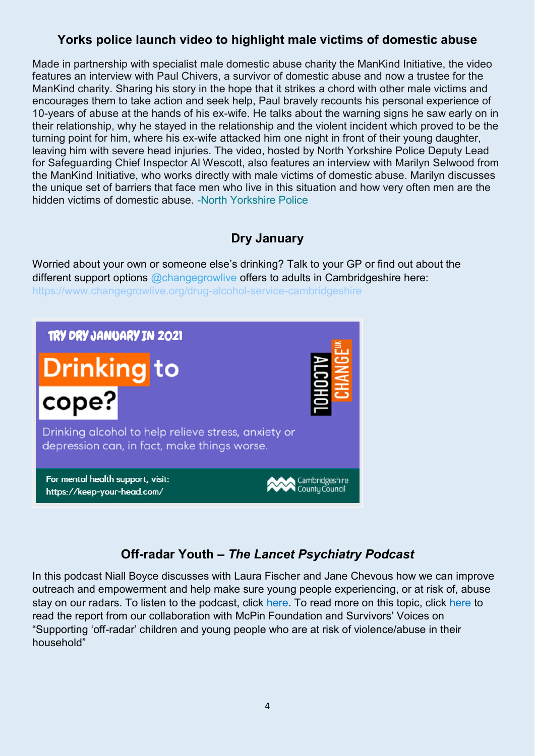# **Yorks police launch video to highlight male victims of domestic abuse**

Made in partnership with specialist male domestic abuse charity the ManKind Initiative, the video features an interview with Paul Chivers, a survivor of domestic abuse and now a trustee for the ManKind charity. Sharing his story in the hope that it strikes a chord with other male victims and encourages them to take action and seek help, Paul bravely recounts his personal experience of 10-years of abuse at the hands of his ex-wife. He talks about the warning signs he saw early on in their relationship, why he stayed in the relationship and the violent incident which proved to be the turning point for him, where his ex-wife attacked him one night in front of their young daughter, leaving him with severe head injuries. The video, hosted by North Yorkshire Police Deputy Lead for Safeguarding Chief Inspector Al Wescott, also features an interview with Marilyn Selwood from the ManKind Initiative, who works directly with male victims of domestic abuse. Marilyn discusses the unique set of barriers that face men who live in this situation and how very often men are the hidden victims of domestic abuse. [-North Yorkshire Police](https://domestic-abuse.us3.list-manage.com/track/click?u=bda67bdea4d7f8cc23a059e34&id=686d3e3769&e=33ef8dce61) 

# **Dry January**

Worried about your own or someone else's drinking? Talk to your GP or find out about the different support options  $@$ changegrowlive offers to adults in Cambridgeshire here: <https://www.changegrowlive.org/drug-alcohol-service-cambridgeshire>



# **Off-radar Youth –** *The Lancet Psychiatry Podcast*

In this podcast Niall Boyce discusses with Laura Fischer and Jane Chevous how we can improve outreach and empowerment and help make sure young people experiencing, or at risk of, abuse stay on our radars. To listen to the podcast, click [here.](https://eur03.safelinks.protection.outlook.com/?url=https%3A%2F%2Fwww.buzzsprout.com%2F1391365%2F6753130-off-radar-youth&data=04%7C01%7Cvamhn%40kcl.ac.uk%7C1d84b445d7e34609923e08d8a34404b9%7C8370cf1416f34c16b83c724071654356%7C0%7C0%7C637438859832760930%7CUnknown%7CTWFpbGZsb3d8eyJWIjoiMC4wLjAwMDAiLCJQIjoiV2luMzIiLCJBTiI6Ik1haWwiLCJXVCI6Mn0%3D%7C1000&sdata=6CUwfugLfok7YGnQZnXkCQ4BO7%2FVM2AnhZs%2BZpWuTk8%3D&reserved=0) To read more on this topic, click [here](https://eur03.safelinks.protection.outlook.com/?url=http%3A%2F%2Fwww.vamhn.co.uk%2Fuploads%2F1%2F2%2F2%2F7%2F122741688%2Foff_radar_c_yp_at_risk_report_part_1_.pdf&data=04%7C01%7Cvamhn%40kcl.ac.uk%7C1d84b445d7e34609923e08d8a34404b9%7C8370cf1416f34c16b83c724071654356%7C0%7C0%7C637438859832770923%7CUnknown%7CTWFpbGZsb3d8eyJWIjoiMC4wLjAwMDAiLCJQIjoiV2luMzIiLCJBTiI6Ik1haWwiLCJXVCI6Mn0%3D%7C1000&sdata=uzodZfo4%2FmPm9HJZCwZcaNYoXI56H31fTbJJAUKjNJw%3D&reserved=0) to read the report from our collaboration with McPin Foundation and Survivors' Voices on "Supporting 'off-radar' children and young people who are at risk of violence/abuse in their household"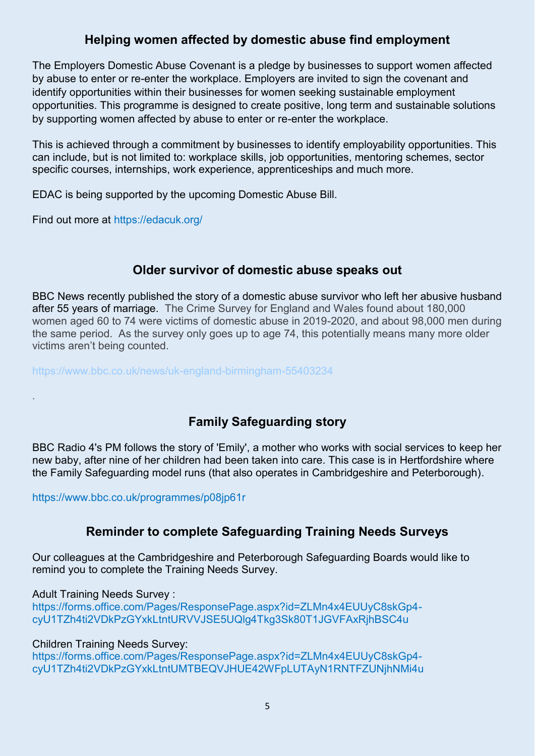## **Helping women affected by domestic abuse find employment**

The Employers Domestic Abuse Covenant is a pledge by businesses to support women affected by abuse to enter or re-enter the workplace. Employers are invited to sign the covenant and identify opportunities within their businesses for women seeking sustainable employment opportunities. This programme is designed to create positive, long term and sustainable solutions by supporting women affected by abuse to enter or re-enter the workplace.

This is achieved through a commitment by businesses to identify employability opportunities. This can include, but is not limited to: workplace skills, job opportunities, mentoring schemes, sector specific courses, internships, work experience, apprenticeships and much more.

EDAC is being supported by the upcoming Domestic Abuse Bill.

Find out more at<https://edacuk.org/>

### **Older survivor of domestic abuse speaks out**

BBC News recently published the story of a domestic abuse survivor who left her abusive husband after 55 years of marriage. The Crime Survey for England and Wales found about 180,000 women aged 60 to 74 were victims of domestic abuse in 2019-2020, and about 98,000 men during the same period. As the survey only goes up to age 74, this potentially means many more older victims aren't being counted.

<https://www.bbc.co.uk/news/uk-england-birmingham-55403234>

# **Family Safeguarding story**

BBC Radio 4's PM follows the story of 'Emily', a mother who works with social services to keep her new baby, after nine of her children had been taken into care. This case is in Hertfordshire where the Family Safeguarding model runs (that also operates in Cambridgeshire and Peterborough).

<https://www.bbc.co.uk/programmes/p08jp61r>

## **Reminder to complete Safeguarding Training Needs Surveys**

Our colleagues at the Cambridgeshire and Peterborough Safeguarding Boards would like to remind you to complete the Training Needs Survey.

Adult Training Needs Survey :

.

[https://forms.office.com/Pages/ResponsePage.aspx?id=ZLMn4x4EUUyC8skGp4](https://forms.office.com/Pages/ResponsePage.aspx?id=ZLMn4x4EUUyC8skGp4-cyU1TZh4ti2VDkPzGYxkLtntURVVJSE5UQlg4Tkg3Sk80T1JGVFAxRjhBSC4u) [cyU1TZh4ti2VDkPzGYxkLtntURVVJSE5UQlg4Tkg3Sk80T1JGVFAxRjhBSC4u](https://forms.office.com/Pages/ResponsePage.aspx?id=ZLMn4x4EUUyC8skGp4-cyU1TZh4ti2VDkPzGYxkLtntURVVJSE5UQlg4Tkg3Sk80T1JGVFAxRjhBSC4u) 

Children Training Needs Survey:

[https://forms.office.com/Pages/ResponsePage.aspx?id=ZLMn4x4EUUyC8skGp4](https://forms.office.com/Pages/ResponsePage.aspx?id=ZLMn4x4EUUyC8skGp4-cyU1TZh4ti2VDkPzGYxkLtntUMTBEQVJHUE42WFpLUTAyN1RNTFZUNjhNMi4u) [cyU1TZh4ti2VDkPzGYxkLtntUMTBEQVJHUE42WFpLUTAyN1RNTFZUNjhNMi4u](https://forms.office.com/Pages/ResponsePage.aspx?id=ZLMn4x4EUUyC8skGp4-cyU1TZh4ti2VDkPzGYxkLtntUMTBEQVJHUE42WFpLUTAyN1RNTFZUNjhNMi4u)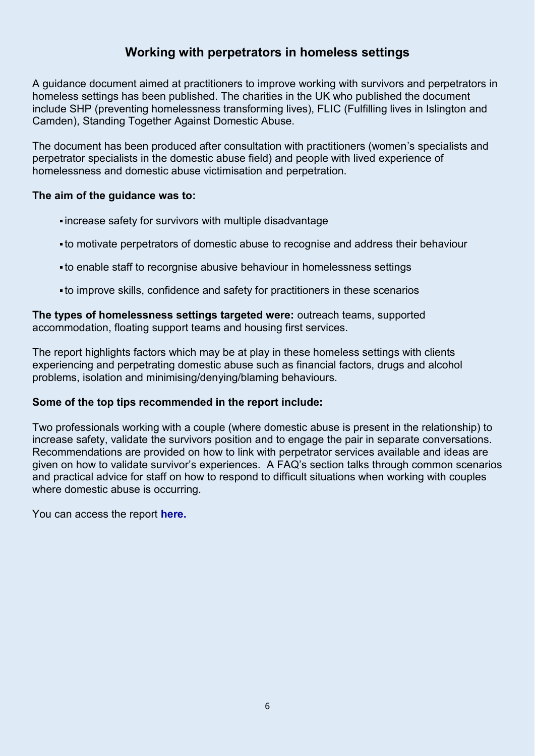## **Working with perpetrators in homeless settings**

A guidance document aimed at practitioners to improve working with survivors and perpetrators in homeless settings has been published. The charities in the UK who published the document include SHP (preventing homelessness transforming lives), FLIC (Fulfilling lives in Islington and Camden), Standing Together Against Domestic Abuse.

The document has been produced after consultation with practitioners (women's specialists and perpetrator specialists in the domestic abuse field) and people with lived experience of homelessness and domestic abuse victimisation and perpetration.

#### **The aim of the guidance was to:**

- increase safety for survivors with multiple disadvantage
- to motivate perpetrators of domestic abuse to recognise and address their behaviour
- to enable staff to recorgnise abusive behaviour in homelessness settings
- to improve skills, confidence and safety for practitioners in these scenarios

**The types of homelessness settings targeted were:** outreach teams, supported accommodation, floating support teams and housing first services.

The report highlights factors which may be at play in these homeless settings with clients experiencing and perpetrating domestic abuse such as financial factors, drugs and alcohol problems, isolation and minimising/denying/blaming behaviours.

#### **Some of the top tips recommended in the report include:**

Two professionals working with a couple (where domestic abuse is present in the relationship) to increase safety, validate the survivors position and to engage the pair in separate conversations. Recommendations are provided on how to link with perpetrator services available and ideas are given on how to validate survivor's experiences. A FAQ's section talks through common scenarios and practical advice for staff on how to respond to difficult situations when working with couples where domestic abuse is occurring.

You can access the report **[here.](https://www.shp.org.uk/Handlers/Download.ashx?IDMF=8c5c9961-8e2d-41f1-8564-88e23f1b048c)**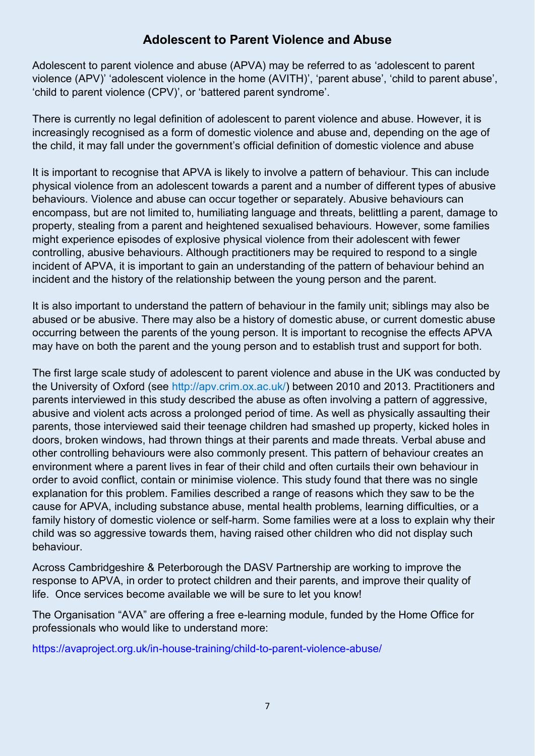## **Adolescent to Parent Violence and Abuse**

Adolescent to parent violence and abuse (APVA) may be referred to as 'adolescent to parent violence (APV)' 'adolescent violence in the home (AVITH)', 'parent abuse', 'child to parent abuse', 'child to parent violence (CPV)', or 'battered parent syndrome'.

There is currently no legal definition of adolescent to parent violence and abuse. However, it is increasingly recognised as a form of domestic violence and abuse and, depending on the age of the child, it may fall under the government's official definition of domestic violence and abuse

It is important to recognise that APVA is likely to involve a pattern of behaviour. This can include physical violence from an adolescent towards a parent and a number of different types of abusive behaviours. Violence and abuse can occur together or separately. Abusive behaviours can encompass, but are not limited to, humiliating language and threats, belittling a parent, damage to property, stealing from a parent and heightened sexualised behaviours. However, some families might experience episodes of explosive physical violence from their adolescent with fewer controlling, abusive behaviours. Although practitioners may be required to respond to a single incident of APVA, it is important to gain an understanding of the pattern of behaviour behind an incident and the history of the relationship between the young person and the parent.

It is also important to understand the pattern of behaviour in the family unit; siblings may also be abused or be abusive. There may also be a history of domestic abuse, or current domestic abuse occurring between the parents of the young person. It is important to recognise the effects APVA may have on both the parent and the young person and to establish trust and support for both.

The first large scale study of adolescent to parent violence and abuse in the UK was conducted by the University of Oxford (see [http://apv.crim.ox.ac.uk/\)](http://apv.crim.ox.ac.uk/) between 2010 and 2013. Practitioners and parents interviewed in this study described the abuse as often involving a pattern of aggressive, abusive and violent acts across a prolonged period of time. As well as physically assaulting their parents, those interviewed said their teenage children had smashed up property, kicked holes in doors, broken windows, had thrown things at their parents and made threats. Verbal abuse and other controlling behaviours were also commonly present. This pattern of behaviour creates an environment where a parent lives in fear of their child and often curtails their own behaviour in order to avoid conflict, contain or minimise violence. This study found that there was no single explanation for this problem. Families described a range of reasons which they saw to be the cause for APVA, including substance abuse, mental health problems, learning difficulties, or a family history of domestic violence or self-harm. Some families were at a loss to explain why their child was so aggressive towards them, having raised other children who did not display such behaviour.

Across Cambridgeshire & Peterborough the DASV Partnership are working to improve the response to APVA, in order to protect children and their parents, and improve their quality of life. Once services become available we will be sure to let you know!

The Organisation "AVA" are offering a free e-learning module, funded by the Home Office for professionals who would like to understand more:

<https://avaproject.org.uk/in-house-training/child-to-parent-violence-abuse/>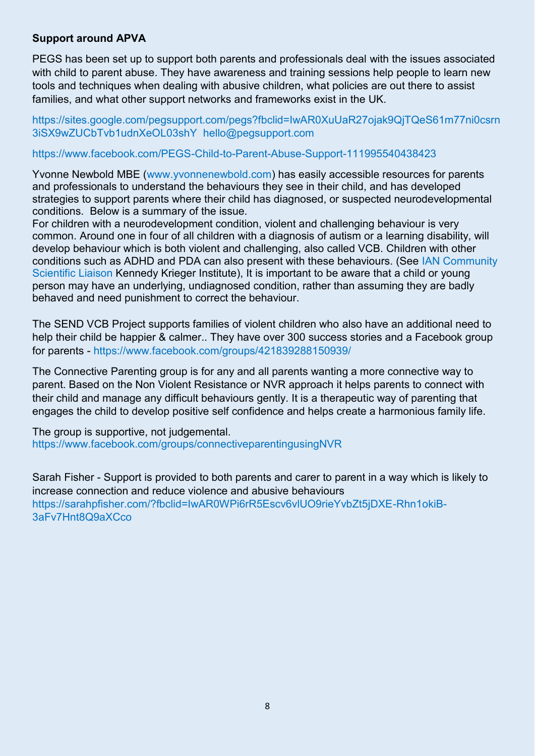#### **Support around APVA**

PEGS has been set up to support both parents and professionals deal with the issues associated with child to parent abuse. They have awareness and training sessions help people to learn new tools and techniques when dealing with abusive children, what policies are out there to assist families, and what other support networks and frameworks exist in the UK.

[https://sites.google.com/pegsupport.com/pegs?fbclid=IwAR0XuUaR27ojak9QjTQeS61m77ni0csrn](https://sites.google.com/pegsupport.com/pegs?fbclid=IwAR0XuUaR27ojak9QjTQeS61m77ni0csrn3iSX9wZUCbTvb1udnXeOL03shY) [3iSX9wZUCbTvb1udnXeOL03shY](https://sites.google.com/pegsupport.com/pegs?fbclid=IwAR0XuUaR27ojak9QjTQeS61m77ni0csrn3iSX9wZUCbTvb1udnXeOL03shY) [hello@pegsupport.com](mailto:hello@pegsupport.com) 

<https://www.facebook.com/PEGS-Child-to-Parent-Abuse-Support-111995540438423>

Yvonne Newbold MBE [\(www.yvonnenewbold.com\)](http://www.yvonnenewbold.com/) has easily accessible resources for parents and professionals to understand the behaviours they see in their child, and has developed strategies to support parents where their child has diagnosed, or suspected neurodevelopmental conditions. Below is a summary of the issue.

For children with a neurodevelopment condition, violent and challenging behaviour is very common. Around one in four of all children with a diagnosis of autism or a learning disability, will develop behaviour which is both violent and challenging, also called VCB. Children with other conditions such as ADHD and PDA can also present with these behaviours. (See [IAN Community](https://iancommunity.org/cs/simons_simplex_community/aggression_and_asd)  [Scientific Liaison](https://iancommunity.org/cs/simons_simplex_community/aggression_and_asd) Kennedy Krieger Institute), It is important to be aware that a child or young person may have an underlying, undiagnosed condition, rather than assuming they are badly behaved and need punishment to correct the behaviour.

The SEND VCB Project supports families of violent children who also have an additional need to help their child be happier & calmer.. They have over 300 success stories and a Facebook group for parents -<https://www.facebook.com/groups/421839288150939/>

The Connective Parenting group is for any and all parents wanting a more connective way to parent. Based on the Non Violent Resistance or NVR approach it helps parents to connect with their child and manage any difficult behaviours gently. It is a therapeutic way of parenting that engages the child to develop positive self confidence and helps create a harmonious family life.

The group is supportive, not judgemental. <https://www.facebook.com/groups/connectiveparentingusingNVR>

Sarah Fisher - Support is provided to both parents and carer to parent in a way which is likely to increase connection and reduce violence and abusive behaviours [https://sarahpfisher.com/?fbclid=IwAR0WPi6rR5Escv6vlUO9rieYvbZt5jDXE-Rhn1okiB-](https://sarahpfisher.com/?fbclid=IwAR0WPi6rR5Escv6vlUO9rieYvbZt5jDXE-Rhn1okiB-3aFv7Hnt8Q9aXCco)[3aFv7Hnt8Q9aXCco](https://sarahpfisher.com/?fbclid=IwAR0WPi6rR5Escv6vlUO9rieYvbZt5jDXE-Rhn1okiB-3aFv7Hnt8Q9aXCco)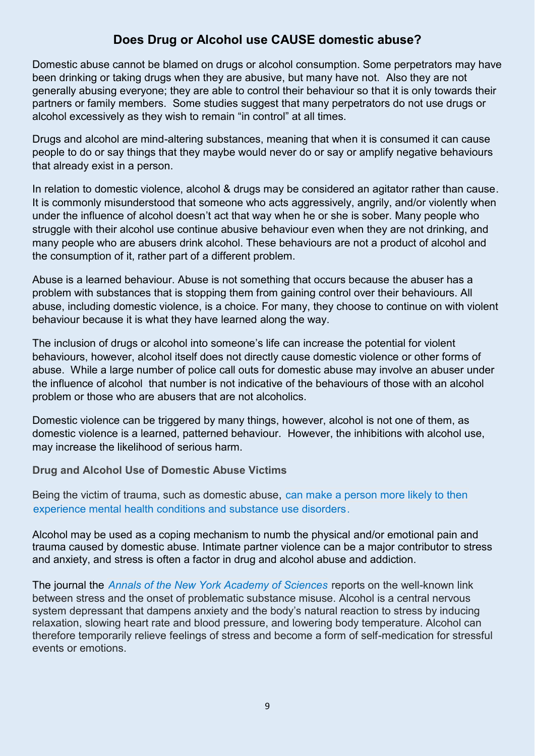## **Does Drug or Alcohol use CAUSE domestic abuse?**

Domestic abuse cannot be blamed on drugs or alcohol consumption. Some perpetrators may have been drinking or taking drugs when they are abusive, but many have not. Also they are not generally abusing everyone; they are able to control their behaviour so that it is only towards their partners or family members. Some studies suggest that many perpetrators do not use drugs or alcohol excessively as they wish to remain "in control" at all times.

Drugs and alcohol are mind-altering substances, meaning that when it is consumed it can cause people to do or say things that they maybe would never do or say or amplify negative behaviours that already exist in a person.

In relation to domestic violence, alcohol & drugs may be considered an agitator rather than cause. It is commonly misunderstood that someone who acts aggressively, angrily, and/or violently when under the influence of alcohol doesn't act that way when he or she is sober. Many people who struggle with their alcohol use continue abusive behaviour even when they are not drinking, and many people who are abusers drink alcohol. These behaviours are not a product of alcohol and the consumption of it, rather part of a different problem.

Abuse is a learned behaviour. Abuse is not something that occurs because the abuser has a problem with substances that is stopping them from gaining control over their behaviours. All abuse, including domestic violence, is a choice. For many, they choose to continue on with violent behaviour because it is what they have learned along the way.

The inclusion of drugs or alcohol into someone's life can increase the potential for violent behaviours, however, alcohol itself does not directly cause domestic violence or other forms of abuse. While a large number of police call outs for domestic abuse may involve an abuser under the influence of alcohol that number is not indicative of the behaviours of those with an alcohol problem or those who are abusers that are not alcoholics.

Domestic violence can be triggered by many things, however, alcohol is not one of them, as domestic violence is a learned, patterned behaviour. However, the inhibitions with alcohol use, may increase the likelihood of serious harm.

**Drug and Alcohol Use of Domestic Abuse Victims** 

Being the victim of trauma, such as domestic abuse, [can make a person more likely to then](https://www.alcohol.org/co-occurring-disorder/)  [experience mental health conditions and substance use disorders.](https://www.alcohol.org/co-occurring-disorder/)

Alcohol may be used as a coping mechanism to numb the physical and/or emotional pain and trauma caused by domestic abuse. Intimate partner violence can be a major contributor to stress and anxiety, and stress is often a factor in drug and alcohol abuse and addiction.

The journal the *[Annals of the New York Academy of Sciences](https://www.ncbi.nlm.nih.gov/pmc/articles/PMC2732004/)* reports on the well-known link between stress and the onset of problematic substance misuse. Alcohol is a central nervous system depressant that dampens anxiety and the body's natural reaction to stress by inducing relaxation, slowing heart rate and blood pressure, and lowering body temperature. Alcohol can therefore temporarily relieve feelings of stress and become a form of self-medication for stressful events or emotions.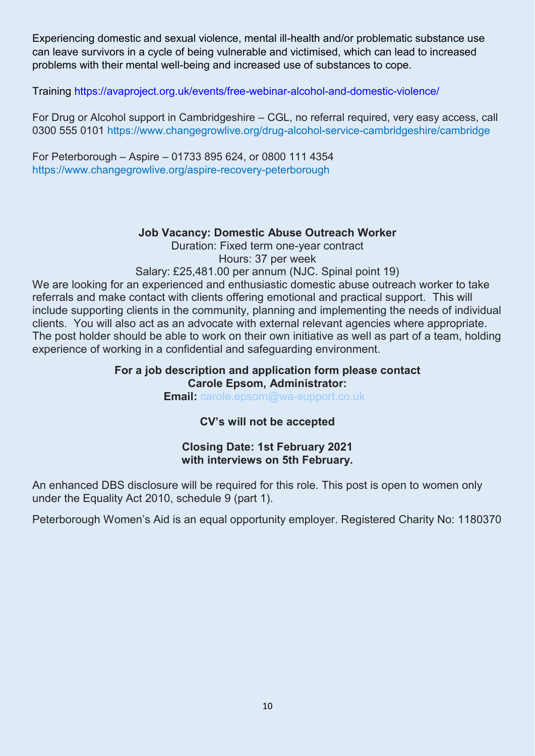Experiencing domestic and sexual violence, mental ill-health and/or problematic substance use can leave survivors in a cycle of being vulnerable and victimised, which can lead to increased problems with their mental well-being and increased use of substances to cope.

Training<https://avaproject.org.uk/events/free-webinar-alcohol-and-domestic-violence/>

For Drug or Alcohol support in Cambridgeshire – CGL, no referral required, very easy access, call 0300 555 0101<https://www.changegrowlive.org/drug-alcohol-service-cambridgeshire/cambridge>

For Peterborough – Aspire – 01733 895 624, or 0800 111 4354 <https://www.changegrowlive.org/aspire-recovery-peterborough>

### **Job Vacancy: Domestic Abuse Outreach Worker**

Duration: Fixed term one-year contract Hours: 37 per week

Salary: £25,481.00 per annum (NJC. Spinal point 19)

We are looking for an experienced and enthusiastic domestic abuse outreach worker to take referrals and make contact with clients offering emotional and practical support. This will include supporting clients in the community, planning and implementing the needs of individual clients. You will also act as an advocate with external relevant agencies where appropriate. The post holder should be able to work on their own initiative as well as part of a team, holding experience of working in a confidential and safeguarding environment.

#### **For a job description and application form please contact Carole Epsom, Administrator:**

**Email:** [carole.epsom@wa-support.co.uk](mailto:carole.epsom@wa-support.co.uk)

### **CV's will not be accepted**

#### **Closing Date: 1st February 2021 with interviews on 5th February.**

An enhanced DBS disclosure will be required for this role. This post is open to women only under the Equality Act 2010, schedule 9 (part 1).

Peterborough Women's Aid is an equal opportunity employer. Registered Charity No: 1180370